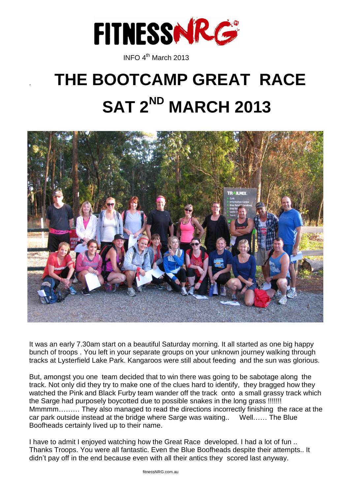

**INFO 4<sup>th</sup> March 2013** 

# . **THE BOOTCAMP GREAT RACE SAT 2ND MARCH 2013**



It was an early 7.30am start on a beautiful Saturday morning. It all started as one big happy bunch of troops . You left in your separate groups on your unknown journey walking through tracks at Lysterfield Lake Park. Kangaroos were still about feeding and the sun was glorious.

But, amongst you one team decided that to win there was going to be sabotage along the track. Not only did they try to make one of the clues hard to identify, they bragged how they watched the Pink and Black Furby team wander off the track onto a small grassy track which the Sarge had purposely boycotted due to possible snakes in the long grass !!!!!!! Mmmmm……… They also managed to read the directions incorrectly finishing the race at the car park outside instead at the bridge where Sarge was waiting.. Well…… The Blue Boofheads certainly lived up to their name.

I have to admit I enjoyed watching how the Great Race developed. I had a lot of fun .. Thanks Troops. You were all fantastic. Even the Blue Boofheads despite their attempts.. It didn't pay off in the end because even with all their antics they scored last anyway.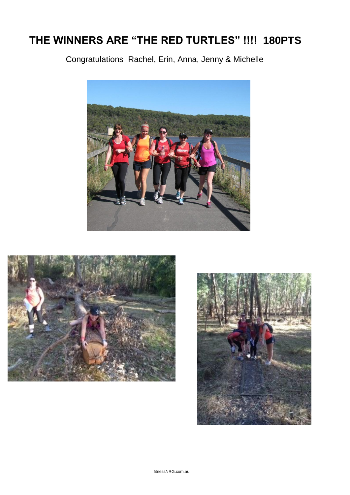## **THE WINNERS ARE "THE RED TURTLES" !!!! 180PTS**

Congratulations Rachel, Erin, Anna, Jenny & Michelle